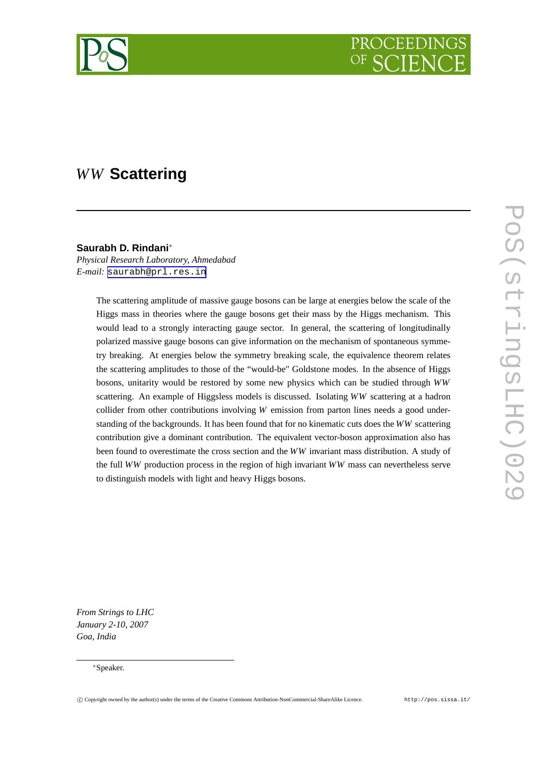

# *WW* **Scattering**

## **Saurabh D. Rindani**∗

*Physical Research Laboratory, Ahmedabad E-mail:* [saurabh@prl.res.in](mailto:saurabh@prl.res.in)

> The scattering amplitude of massive gauge bosons can be large at energies below the scale of the Higgs mass in theories where the gauge bosons get their mass by the Higgs mechanism. This would lead to a strongly interacting gauge sector. In general, the scattering of longitudinally polarized massive gauge bosons can give information on the mechanism of spontaneous symmetry breaking. At energies below the symmetry breaking scale, the equivalence theorem relates the scattering amplitudes to those of the "would-be" Goldstone modes. In the absence of Higgs bosons, unitarity would be restored by some new physics which can be studied through *WW* scattering. An example of Higgsless models is discussed. Isolating *WW* scattering at a hadron collider from other contributions involving *W* emission from parton lines needs a good understanding of the backgrounds. It has been found that for no kinematic cuts does the *WW* scattering contribution give a dominant contribution. The equivalent vector-boson approximation also has been found to overestimate the cross section and the *WW* invariant mass distribution. A study of the full *WW* production process in the region of high invariant *WW* mass can nevertheless serve to distinguish models with light and heavy Higgs bosons.

*From Strings to LHC January 2-10, 2007 Goa, India*

<sup>∗</sup>Speaker.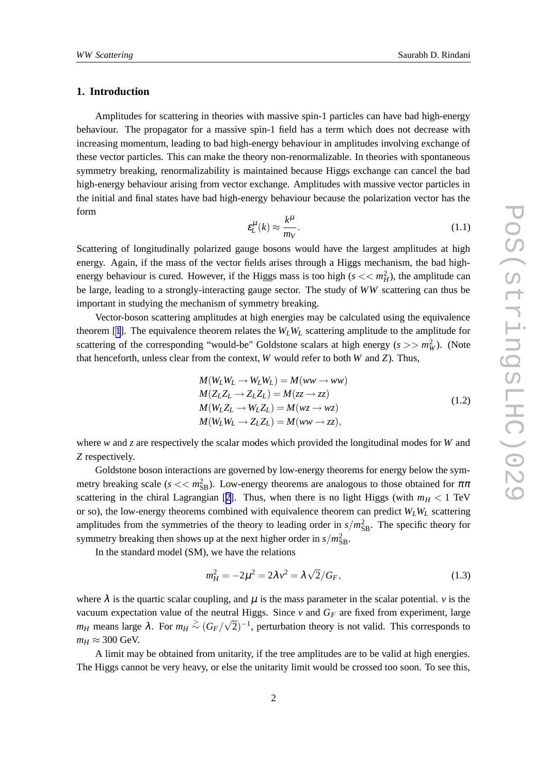## **1. Introduction**

Amplitudes for scattering in theories with massive spin-1 particles can have bad high-energy behaviour. The propagator for a massive spin-1 field has a term which does not decrease with increasing momentum, leading to bad high-energy behaviour in amplitudes involving exchange of these vector particles. This can make the theory non-renormalizable. In theories with spontaneous symmetry breaking, renormalizability is maintained because Higgs exchange can cancel the bad high-energy behaviour arising from vector exchange. Amplitudes with massive vector particles in the initial and final states have bad high-energy behaviour because the polarization vector has the form

$$
\varepsilon_L^{\mu}(k) \approx \frac{k^{\mu}}{m_V}.\tag{1.1}
$$

Scattering of longitudinally polarized gauge bosons would have the largest amplitudes at high energy. Again, if the mass of the vector fields arises through a Higgs mechanism, the bad highenergy behaviour is cured. However, if the Higgs mass is too high ( $s \ll m_H^2$ ), the amplitude can be large, leading to a strongly-interacting gauge sector. The study of *WW* scattering can thus be important in studying the mechanism of symmetry breaking.

Vector-boson scattering amplitudes at high energies may be calculated using the equivalence theorem [[1](#page-8-0)]. The equivalence theorem relates the  $W_L W_L$  scattering amplitude to the amplitude for scattering of the corresponding "would-be" Goldstone scalars at high energy  $(s \gg m_W^2)$ . (Note that henceforth, unless clear from the context, *W* would refer to both *W* and *Z*). Thus,

$$
M(W_LW_L \to W_LW_L) = M(ww \to ww)
$$
  
\n
$$
M(Z_LZ_L \to Z_LZ_L) = M(zz \to zz)
$$
  
\n
$$
M(W_LZ_L \to W_LZ_L) = M(wz \to wz)
$$
  
\n
$$
M(W_LW_L \to Z_LZ_L) = M(ww \to zz),
$$
\n(1.2)

where *w* and *z* are respectively the scalar modes which provided the longitudinal modes for *W* and *Z* respectively.

Goldstone boson interactions are governed by low-energy theorems for energy below the symmetry breaking scale ( $s \ll m_{\rm SB}^2$ ). Low-energy theorems are analogous to those obtained for  $\pi\pi$ scattering in the chiral Lagrangian [[2\]](#page-9-0). Thus, when there is no light Higgs (with  $m_H < 1$  TeV or so), the low-energy theorems combined with equivalence theorem can predict  $W_L W_L$  scattering amplitudes from the symmetries of the theory to leading order in  $s/m_{\rm SB}^2$ . The specific theory for symmetry breaking then shows up at the next higher order in  $s/m_{\rm SB}^2$ .

In the standard model (SM), we have the relations

$$
m_H^2 = -2\mu^2 = 2\lambda v^2 = \lambda \sqrt{2}/G_F,
$$
\n(1.3)

where  $\lambda$  is the quartic scalar coupling, and  $\mu$  is the mass parameter in the scalar potential. *v* is the vacuum expectation value of the neutral Higgs. Since  $v$  and  $G_F$  are fixed from experiment, large *m<sub>H</sub>* means large  $\lambda$ . For  $m_H \stackrel{>}{\sim} (G_F/\sqrt{2})^{-1}$ , perturbation theory is not valid. This corresponds to  $m_H \approx 300$  GeV.

A limit may be obtained from unitarity, if the tree amplitudes are to be valid at high energies. The Higgs cannot be very heavy, or else the unitarity limit would be crossed too soon. To see this,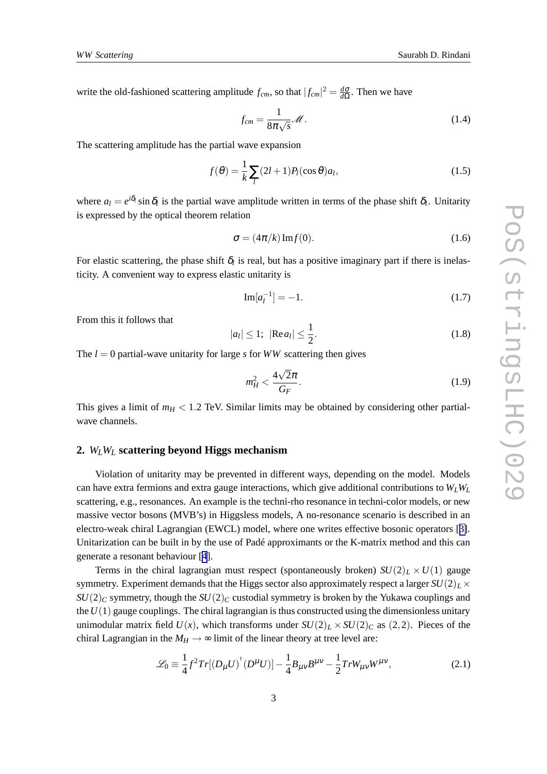write the old-fashioned scattering amplitude  $f_{cm}$ , so that  $|f_{cm}|^2 = \frac{d\sigma}{d\Omega}$ *d*Ω . Then we have

$$
f_{cm} = \frac{1}{8\pi\sqrt{s}}\mathcal{M}.
$$
\n(1.4)

The scattering amplitude has the partial wave expansion

$$
f(\theta) = \frac{1}{k} \sum_{l} (2l+1) P_l(\cos \theta) a_l,
$$
\n(1.5)

where  $a_l = e^{i\delta_l} \sin \delta_l$  is the partial wave amplitude written in terms of the phase shift  $\delta_l$ . Unitarity is expressed by the optical theorem relation

$$
\sigma = (4\pi/k)\,\mathrm{Im}f(0). \tag{1.6}
$$

For elastic scattering, the phase shift  $\delta_l$  is real, but has a positive imaginary part if there is inelasticity. A convenient way to express elastic unitarity is

$$
\text{Im}[a_l^{-1}] = -1. \tag{1.7}
$$

From this it follows that

$$
|a_l| \le 1; \, |\text{Re}\, a_l| \le \frac{1}{2}.\tag{1.8}
$$

The  $l = 0$  partial-wave unitarity for large *s* for *WW* scattering then gives

$$
m_H^2 < \frac{4\sqrt{2}\pi}{G_F}.\tag{1.9}
$$

This gives a limit of  $m_H < 1.2$  TeV. Similar limits may be obtained by considering other partialwave channels.

## **2.** *WLW<sup>L</sup>* **scattering beyond Higgs mechanism**

Violation of unitarity may be prevented in different ways, depending on the model. Models can have extra fermions and extra gauge interactions, which give additional contributions to  $W_L W_L$ scattering, e.g., resonances. An example is the techni-rho resonance in techni-color models, or new massive vector bosons (MVB's) in Higgsless models, A no-resonance scenario is described in an electro-weak chiral Lagrangian (EWCL) model, where one writes effective bosonic operators [[3\]](#page-9-0). Unitarization can be built in by the use of Padé approximants or the K-matrix method and this can generate a resonant behaviour [[4](#page-9-0)].

Terms in the chiral lagrangian must respect (spontaneously broken)  $SU(2)_L \times U(1)$  gauge symmetry. Experiment demands that the Higgs sector also approximately respect a larger  $SU(2)_L\times$  $SU(2)_C$  symmetry, though the  $SU(2)_C$  custodial symmetry is broken by the Yukawa couplings and the  $U(1)$  gauge couplings. The chiral lagrangian is thus constructed using the dimensionless unitary unimodular matrix field  $U(x)$ , which transforms under  $SU(2)_L \times SU(2)_C$  as (2,2). Pieces of the chiral Lagrangian in the  $M_H \rightarrow \infty$  limit of the linear theory at tree level are:

$$
\mathcal{L}_0 = \frac{1}{4} f^2 Tr[(D_\mu U)^{\dagger} (D^\mu U)] - \frac{1}{4} B_{\mu\nu} B^{\mu\nu} - \frac{1}{2} Tr W_{\mu\nu} W^{\mu\nu}, \tag{2.1}
$$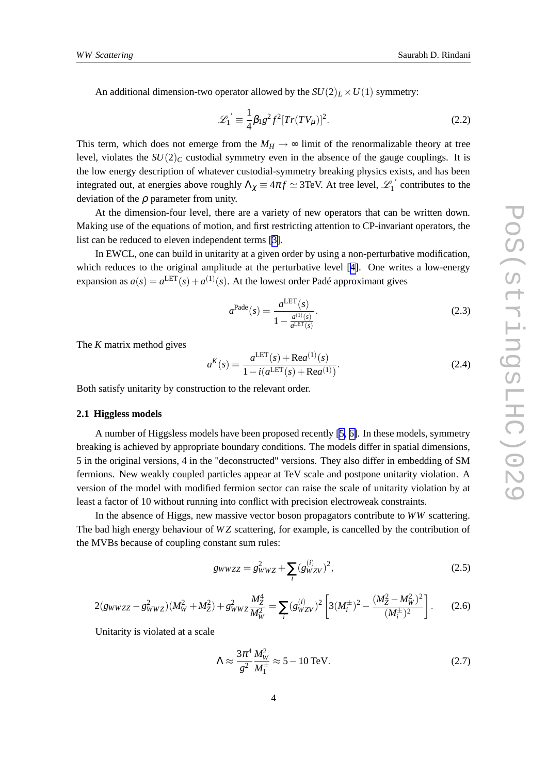An additional dimension-two operator allowed by the  $SU(2)_L \times U(1)$  symmetry:

$$
\mathcal{L}_1' \equiv \frac{1}{4} \beta_1 g^2 f^2 [Tr(TV_\mu)]^2. \tag{2.2}
$$

This term, which does not emerge from the  $M_H \rightarrow \infty$  limit of the renormalizable theory at tree level, violates the  $SU(2)_C$  custodial symmetry even in the absence of the gauge couplings. It is the low energy description of whatever custodial-symmetry breaking physics exists, and has been integrated out, at energies above roughly  $\Lambda_{\chi} \equiv 4\pi f \simeq 3$  TeV. At tree level,  $\mathscr{L}_1'$  contributes to the deviation of the  $\rho$  parameter from unity.

At the dimension-four level, there are a variety of new operators that can be written down. Making use of the equations of motion, and first restricting attention to CP-invariant operators, the list can be reduced to eleven independent terms [[3\]](#page-9-0).

In EWCL, one can build in unitarity at a given order by using a non-perturbative modification, which reduces to the original amplitude at the perturbative level [\[4\]](#page-9-0). One writes a low-energy expansion as  $a(s) = a^{\text{LET}}(s) + a^{(1)}(s)$ . At the lowest order Padé approximant gives

$$
a^{\text{Pade}}(s) = \frac{a^{\text{LET}}(s)}{1 - \frac{a^{(1)}(s)}{a^{\text{LET}}(s)}}.
$$
\n(2.3)

The *K* matrix method gives

$$
a^{K}(s) = \frac{a^{\text{LET}}(s) + \text{Re}a^{(1)}(s)}{1 - i(a^{\text{LET}}(s) + \text{Re}a^{(1)})}.
$$
\n(2.4)

Both satisfy unitarity by construction to the relevant order.

## **2.1 Higgless models**

A number of Higgsless models have been proposed recently [\[5,](#page-9-0) [6\]](#page-9-0). In these models, symmetry breaking is achieved by appropriate boundary conditions. The models differ in spatial dimensions, 5 in the original versions, 4 in the "deconstructed" versions. They also differ in embedding of SM fermions. New weakly coupled particles appear at TeV scale and postpone unitarity violation. A version of the model with modified fermion sector can raise the scale of unitarity violation by at least a factor of 10 without running into conflict with precision electroweak constraints.

In the absence of Higgs, new massive vector boson propagators contribute to *WW* scattering. The bad high energy behaviour of *WZ* scattering, for example, is cancelled by the contribution of the MVBs because of coupling constant sum rules:

$$
g_{WWZZ} = g_{WWZ}^2 + \sum_{i} (g_{WZV}^{(i)})^2, \tag{2.5}
$$

$$
2(g_{WWZZ} - g_{WWZ}^2)(M_W^2 + M_Z^2) + g_{WWZ}^2 \frac{M_Z^4}{M_W^2} = \sum_i (g_{WZV}^{(i)})^2 \left[ 3(M_i^{\pm})^2 - \frac{(M_Z^2 - M_W^2)^2}{(M_i^{\pm})^2} \right].
$$
 (2.6)

Unitarity is violated at a scale

$$
\Lambda \approx \frac{3\pi^4}{g^2} \frac{M_W^2}{M_1^{\pm}} \approx 5 - 10 \,\text{TeV}.\tag{2.7}
$$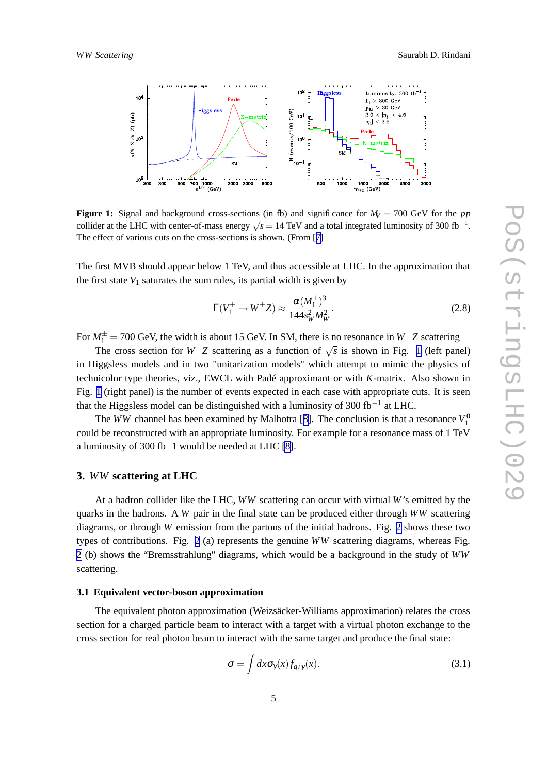

**Figure 1:** Signal and background cross-sections (in fb) and significance for  $M_V = 700$  GeV for the *pp* collider at the LHC with center-of-mass energy  $\sqrt{s} = 14$  TeV and a total integrated luminosity of 300 fb<sup>-1</sup>. The effect of various cuts on the cross-sections is shown. (From [[7\]](#page-9-0)

The first MVB should appear below 1 TeV, and thus accessible at LHC. In the approximation that the first state  $V_1$  saturates the sum rules, its partial width is given by

$$
\Gamma(V_1^{\pm} \to W^{\pm} Z) \approx \frac{\alpha (M_1^{\pm})^3}{144s_W^2 M_W^2}.
$$
\n(2.8)

For  $M_1^{\pm} = 700$  GeV, the width is about 15 GeV. In SM, there is no resonance in  $W^{\pm}Z$  scattering

The cross section for  $W^{\pm}Z$  scattering as a function of  $\sqrt{s}$  is shown in Fig. 1 (left panel) in Higgsless models and in two "unitarization models" which attempt to mimic the physics of technicolor type theories, viz., EWCL with Padé approximant or with *K*-matrix. Also shown in Fig. 1 (right panel) is the number of events expected in each case with appropriate cuts. It is seen that the Higgsless model can be distinguished with a luminosity of 300 fb<sup>-1</sup> at LHC.

The *WW* channel has been examined by Malhotra [[8](#page-9-0)]. The conclusion is that a resonance  $V_1^0$ could be reconstructed with an appropriate luminosity. For example for a resonance mass of 1 TeV a luminosity of 300 fb−1 would be needed at LHC [\[8\]](#page-9-0).

#### **3.** *WW* **scattering at LHC**

At a hadron collider like the LHC, *WW* scattering can occur with virtual *W*'s emitted by the quarks in the hadrons. A *W* pair in the final state can be produced either through *WW* scattering diagrams, or through *W* emission from the partons of the initial hadrons. Fig. [2](#page-5-0) shows these two types of contributions. Fig. [2](#page-5-0) (a) represents the genuine *WW* scattering diagrams, whereas Fig. [2](#page-5-0) (b) shows the "Bremsstrahlung" diagrams, which would be a background in the study of *WW* scattering.

## **3.1 Equivalent vector-boson approximation**

The equivalent photon approximation (Weizsäcker-Williams approximation) relates the cross section for a charged particle beam to interact with a target with a virtual photon exchange to the cross section for real photon beam to interact with the same target and produce the final state:

$$
\sigma = \int dx \sigma_{\gamma}(x) f_{q/\gamma}(x). \tag{3.1}
$$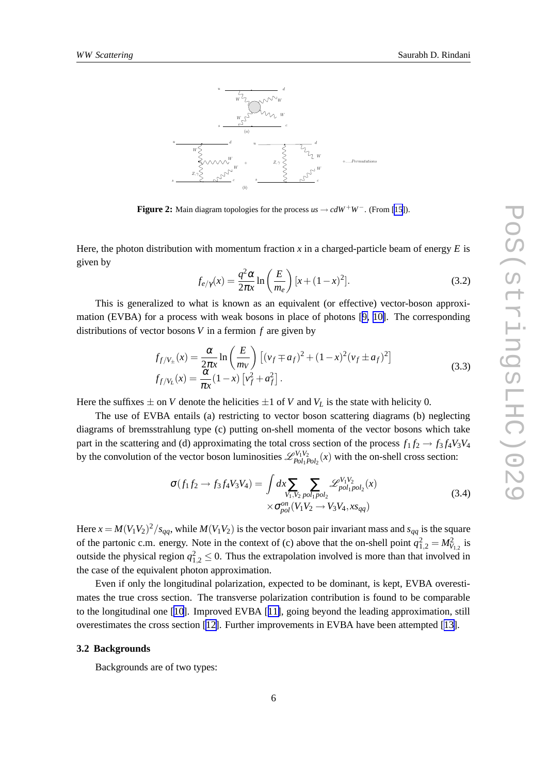<span id="page-5-0"></span>

**Figure 2:** Main diagram topologies for the process  $us \rightarrow cdW + W$ <sup>-</sup>. (From [[15\]](#page-9-0)).

Here, the photon distribution with momentum fraction  $x$  in a charged-particle beam of energy  $E$  is given by

$$
f_{e/\gamma}(x) = \frac{q^2 \alpha}{2\pi x} \ln\left(\frac{E}{m_e}\right) [x + (1 - x)^2].
$$
 (3.2)

This is generalized to what is known as an equivalent (or effective) vector-boson approximation (EVBA) for a process with weak bosons in place of photons [[9,](#page-9-0) [10\]](#page-9-0). The corresponding distributions of vector bosons *V* in a fermion *f* are given by

$$
f_{f/V_{\pm}}(x) = \frac{\alpha}{2\pi x} \ln\left(\frac{E}{m_V}\right) \left[ (v_f \mp a_f)^2 + (1 - x)^2 (v_f \pm a_f)^2 \right]
$$
  
\n
$$
f_{f/V_L}(x) = \frac{\alpha}{\pi x} (1 - x) \left[ v_f^2 + a_f^2 \right].
$$
\n(3.3)

Here the suffixes  $\pm$  on *V* denote the helicities  $\pm$ 1 of *V* and *V<sub>L</sub>* is the state with helicity 0.

The use of EVBA entails (a) restricting to vector boson scattering diagrams (b) neglecting diagrams of bremsstrahlung type (c) putting on-shell momenta of the vector bosons which take part in the scattering and (d) approximating the total cross section of the process  $f_1 f_2 \rightarrow f_3 f_4 V_3 V_4$ by the convolution of the vector boson luminosities  $\mathscr{L}_{pol.}^{V_1V_2}$  $P_{\text{ol}_1\text{Pol}_2}(x)$  with the on-shell cross section:

$$
\sigma(f_1 f_2 \to f_3 f_4 V_3 V_4) = \int dx \sum_{V_1, V_2} \sum_{pol_1 pol_2} \mathcal{L}_{pol_1 pol_2}^{V_1 V_2}(x)
$$
  
 
$$
\times \sigma_{pol}^{on}(V_1 V_2 \to V_3 V_4, x s_{qq})
$$
(3.4)

Here  $x = M(V_1V_2)^2/s_{qq}$ , while  $M(V_1V_2)$  is the vector boson pair invariant mass and  $s_{qq}$  is the square of the partonic c.m. energy. Note in the context of (c) above that the on-shell point  $q_{1,2}^2 = M_{V_{1,2}}^2$  is outside the physical region  $q_{1,2}^2 \le 0$ . Thus the extrapolation involved is more than that involved in the case of the equivalent photon approximation.

Even if only the longitudinal polarization, expected to be dominant, is kept, EVBA overestimates the true cross section. The transverse polarization contribution is found to be comparable to the longitudinal one [\[10\]](#page-9-0). Improved EVBA [[11\]](#page-9-0), going beyond the leading approximation, still overestimates the cross section [\[12\]](#page-9-0). Further improvements in EVBA have been attempted [[13\]](#page-9-0).

#### **3.2 Backgrounds**

Backgrounds are of two types: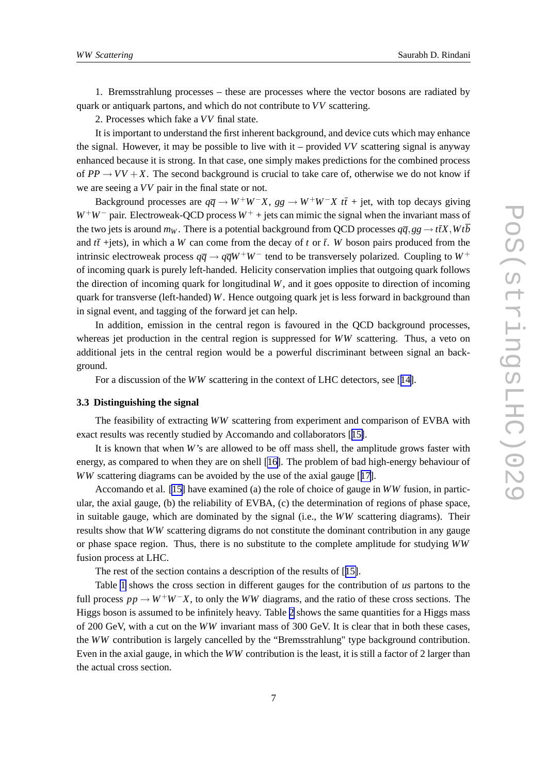1. Bremsstrahlung processes – these are processes where the vector bosons are radiated by quark or antiquark partons, and which do not contribute to *VV* scattering.

2. Processes which fake a *VV* final state.

It is important to understand the first inherent background, and device cuts which may enhance the signal. However, it may be possible to live with it – provided *VV* scattering signal is anyway enhanced because it is strong. In that case, one simply makes predictions for the combined process of  $PP \rightarrow VV + X$ . The second background is crucial to take care of, otherwise we do not know if we are seeing a *VV* pair in the final state or not.

Background processes are  $q\bar{q} \rightarrow W^{+}W^{-}X$ ,  $gg \rightarrow W^{+}W^{-}X$   $t\bar{t}$  + jet, with top decays giving *W*<sup>+</sup>*W*<sup>−</sup> pair. Electroweak-QCD process *W*<sup>+</sup> + jets can mimic the signal when the invariant mass of the two jets is around  $m_W$ . There is a potential background from QCD processes  $q\bar{q}$ ,  $gg \to t\bar{t}X$ ,  $Wt\bar{b}$ and  $t\bar{t}$  +jets), in which a *W* can come from the decay of *t* or  $\bar{t}$ . *W* boson pairs produced from the intrinsic electroweak process  $q\bar{q} \rightarrow q\bar{q}W^+W^-$  tend to be transversely polarized. Coupling to  $W^+$ of incoming quark is purely left-handed. Helicity conservation implies that outgoing quark follows the direction of incoming quark for longitudinal *W*, and it goes opposite to direction of incoming quark for transverse (left-handed) *W*. Hence outgoing quark jet is less forward in background than in signal event, and tagging of the forward jet can help.

In addition, emission in the central regon is favoured in the QCD background processes, whereas jet production in the central region is suppressed for *WW* scattering. Thus, a veto on additional jets in the central region would be a powerful discriminant between signal an background.

For a discussion of the *WW* scattering in the context of LHC detectors, see [[14\]](#page-9-0).

#### **3.3 Distinguishing the signal**

The feasibility of extracting *WW* scattering from experiment and comparison of EVBA with exact results was recently studied by Accomando and collaborators [[15\]](#page-9-0).

It is known that when *W*'s are allowed to be off mass shell, the amplitude grows faster with energy, as compared to when they are on shell [[16\]](#page-9-0). The problem of bad high-energy behaviour of *WW* scattering diagrams can be avoided by the use of the axial gauge [[17](#page-9-0)].

Accomando et al. [\[15\]](#page-9-0) have examined (a) the role of choice of gauge in *WW* fusion, in particular, the axial gauge, (b) the reliability of EVBA, (c) the determination of regions of phase space, in suitable gauge, which are dominated by the signal (i.e., the *WW* scattering diagrams). Their results show that *WW* scattering digrams do not constitute the dominant contribution in any gauge or phase space region. Thus, there is no substitute to the complete amplitude for studying *WW* fusion process at LHC.

The rest of the section contains a description of the results of [[15\]](#page-9-0).

Table [1](#page-7-0) shows the cross section in different gauges for the contribution of *us* partons to the full process  $pp \to W^+W^-X$ , to only the *WW* diagrams, and the ratio of these cross sections. The Higgs boson is assumed to be infinitely heavy. Table [2](#page-7-0) shows the same quantities for a Higgs mass of 200 GeV, with a cut on the *WW* invariant mass of 300 GeV. It is clear that in both these cases, the *WW* contribution is largely cancelled by the "Bremsstrahlung" type background contribution. Even in the axial gauge, in which the *WW* contribution is the least, it is still a factor of 2 larger than the actual cross section.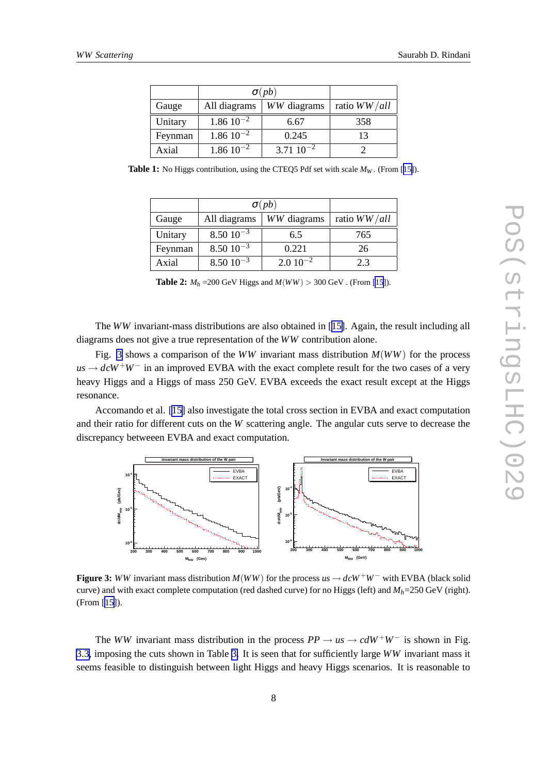<span id="page-7-0"></span>

|         | $\sigma(pb)$      |                   |              |
|---------|-------------------|-------------------|--------------|
| Gauge   | All diagrams      | WW diagrams       | ratio WW/all |
| Unitary | $1.86\ 10^{-2}$   | 6.67              | 358          |
| Feynman | $1.86 \, 10^{-2}$ | 0.245             | 13           |
| Axial   | $1.86\ 10^{-2}$   | $3.71 \, 10^{-2}$ |              |

**Table 1:** No Higgs contribution, using the CTEQ5 Pdf set with scale  $M_W$ . (From [[15\]](#page-9-0)).

|         | $\sigma(pb)$    |              |              |
|---------|-----------------|--------------|--------------|
| Gauge   | All diagrams    | WW diagrams  | ratio WW/all |
| Unitary | $8.50\ 10^{-3}$ | 6.5          | 765          |
| Feynman | $8.50\ 10^{-3}$ | 0.221        | 26           |
| Axial   | $8.50 10^{-3}$  | $2.010^{-2}$ | 2.3          |

**Table 2:**  $M_h = 200 \text{ GeV}$  Higgs and  $M(WW) > 300 \text{ GeV}$ . (From [\[15](#page-9-0)]).

The *WW* invariant-mass distributions are also obtained in [[15\]](#page-9-0). Again, the result including all diagrams does not give a true representation of the *WW* contribution alone.

Fig. 3 shows a comparison of the *WW* invariant mass distribution *M*(*WW*) for the process  $u_s \to d cW^+W^-$  in an improved EVBA with the exact complete result for the two cases of a very heavy Higgs and a Higgs of mass 250 GeV. EVBA exceeds the exact result except at the Higgs resonance.

Accomando et al. [\[15\]](#page-9-0) also investigate the total cross section in EVBA and exact computation and their ratio for different cuts on the *W* scattering angle. The angular cuts serve to decrease the discrepancy betweeen EVBA and exact computation.



**Figure 3:** *WW* invariant mass distribution  $M(WW)$  for the process  $us \rightarrow dcW^+W^-$  with EVBA (black solid curve) and with exact complete computation (red dashed curve) for no Higgs (left) and  $M_h$ =250 GeV (right). (From [\[15\]](#page-9-0)).

The *WW* invariant mass distribution in the process  $PP \rightarrow \mu s \rightarrow c dW^+W^-$  is shown in Fig. [3.3,](#page-8-0) imposing the cuts shown in Table [3.](#page-8-0) It is seen that for sufficiently large *WW* invariant mass it seems feasible to distinguish between light Higgs and heavy Higgs scenarios. It is reasonable to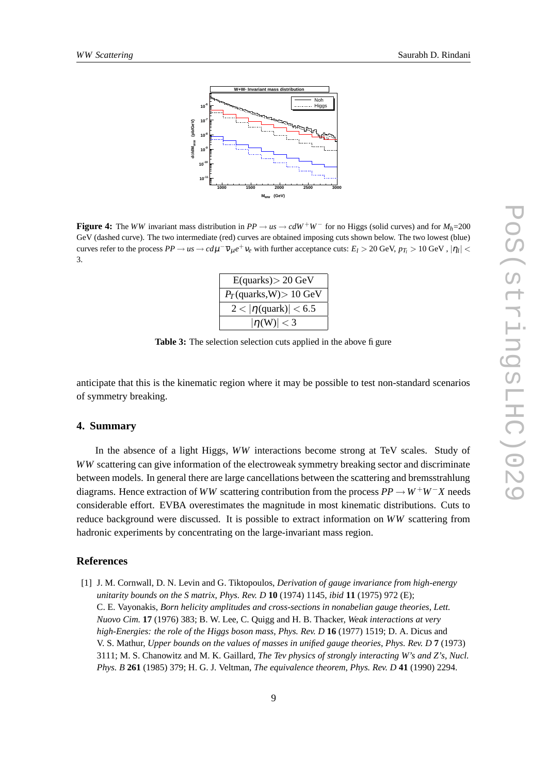<span id="page-8-0"></span>

**Figure 4:** The *WW* invariant mass distribution in  $PP \rightarrow us \rightarrow cdW^+W^-$  for no Higgs (solid curves) and for  $M_h$ =200 GeV (dashed curve). The two intermediate (red) curves are obtained imposing cuts shown below. The two lowest (blue) curves refer to the process  $PP \to us \to cd\mu^-\overline{v}_\mu e^+v_e$  with further acceptance cuts:  $E_l > 20$  GeV,  $p_{T_l} > 10$  GeV ,  $|\eta_l| <$ 3.

| $E$ (quarks) > 20 GeV               |  |  |
|-------------------------------------|--|--|
| $P_T$ (quarks,W) > 10 GeV           |  |  |
| $2 <  \eta{\text{ (quark)}}  < 6.5$ |  |  |
| $ \eta(W)  < 3$                     |  |  |

**Table 3:** The selection selection cuts applied in the above figure

anticipate that this is the kinematic region where it may be possible to test non-standard scenarios of symmetry breaking.

## **4. Summary**

In the absence of a light Higgs, *WW* interactions become strong at TeV scales. Study of *WW* scattering can give information of the electroweak symmetry breaking sector and discriminate between models. In general there are large cancellations between the scattering and bremsstrahlung diagrams. Hence extraction of *WW* scattering contribution from the process *PP* <sup>→</sup>*<sup>W</sup>* <sup>+</sup>*W*−*<sup>X</sup>* needs considerable effort. EVBA overestimates the magnitude in most kinematic distributions. Cuts to reduce background were discussed. It is possible to extract information on *WW* scattering from hadronic experiments by concentrating on the large-invariant mass region.

### **References**

[1] J. M. Cornwall, D. N. Levin and G. Tiktopoulos, *Derivation of gauge invariance from high-energy unitarity bounds on the S matrix*, *Phys. Rev. D* **10** (1974) 1145, *ibid* **11** (1975) 972 (E); C. E. Vayonakis, *Born helicity amplitudes and cross-sections in nonabelian gauge theories*, *Lett. Nuovo Cim.* **17** (1976) 383; B. W. Lee, C. Quigg and H. B. Thacker, *Weak interactions at very high-Energies: the role of the Higgs boson mass*, *Phys. Rev. D* **16** (1977) 1519; D. A. Dicus and V. S. Mathur, *Upper bounds on the values of masses in unified gauge theories*, *Phys. Rev. D* **7** (1973) 3111; M. S. Chanowitz and M. K. Gaillard, *The Tev physics of strongly interacting W's and Z's*, *Nucl. Phys. B* **261** (1985) 379; H. G. J. Veltman, *The equivalence theorem*, *Phys. Rev. D* **41** (1990) 2294.